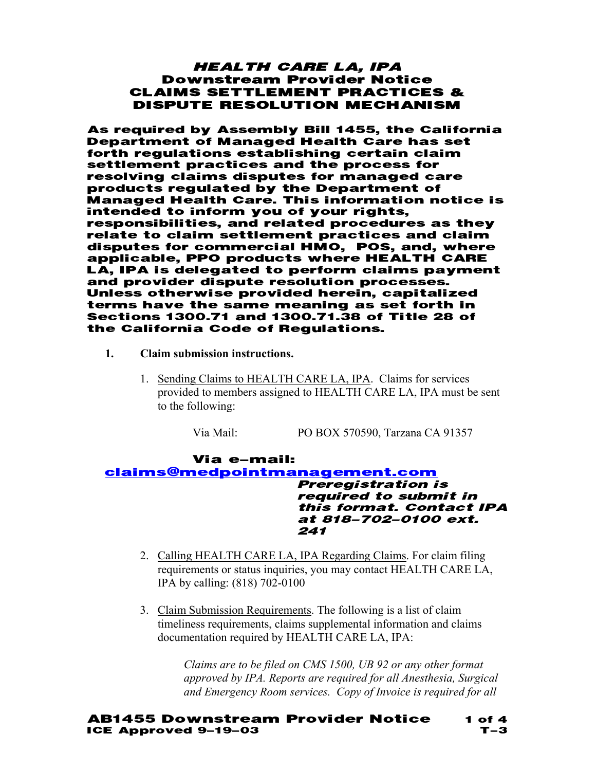### HEALTH CARE LA, IPA Downstream Provider Notice CLAIMS SETTLEMENT PRACTICES & DISPUTE RESOLUTION MECHANISM

As required by Assembly Bill 1455, the California Department of Managed Health Care has set forth regulations establishing certain claim settlement practices and the process for resolving claims disputes for managed care products regulated by the Department of Managed Health Care. This information notice is intended to inform you of your rights, responsibilities, and related procedures as they relate to claim settlement practices and claim disputes for commercial HMO, POS, and, where applicable, PPO products where HEALTH CARE LA, IPA is delegated to perform claims payment and provider dispute resolution processes. Unless otherwise provided herein, capitalized terms have the same meaning as set forth in Sections 1300.71 and 1300.71.38 of Title 28 of the California Code of Regulations.

- **1. Claim submission instructions.** 
	- 1. Sending Claims to HEALTH CARE LA, IPA. Claims for services provided to members assigned to HEALTH CARE LA, IPA must be sent to the following:

Via Mail: PO BOX 570590, Tarzana CA 91357

Via e-mail: claims@medpointmanagement.com Preregistration is required to submit in this format. Contact IPA at 818-702-0100 ext. 241

- 2. Calling HEALTH CARE LA, IPA Regarding Claims. For claim filing requirements or status inquiries, you may contact HEALTH CARE LA, IPA by calling: (818) 702-0100
- 3. Claim Submission Requirements. The following is a list of claim timeliness requirements, claims supplemental information and claims documentation required by HEALTH CARE LA, IPA:

*Claims are to be filed on CMS 1500, UB 92 or any other format approved by IPA. Reports are required for all Anesthesia, Surgical and Emergency Room services. Copy of Invoice is required for all*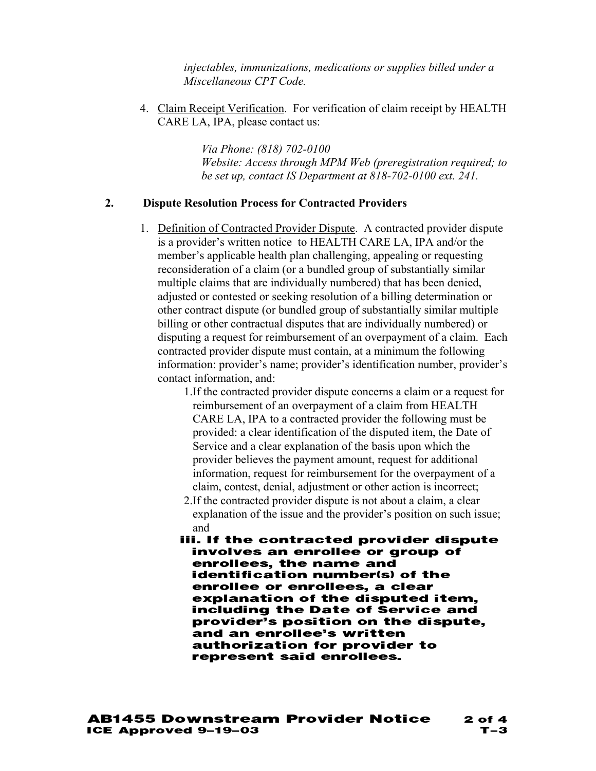*injectables, immunizations, medications or supplies billed under a Miscellaneous CPT Code.* 

4. Claim Receipt Verification. For verification of claim receipt by HEALTH CARE LA, IPA, please contact us:

> *Via Phone: (818) 702-0100 Website: Access through MPM Web (preregistration required; to be set up, contact IS Department at 818-702-0100 ext. 241.*

### **2. Dispute Resolution Process for Contracted Providers**

- 1. Definition of Contracted Provider Dispute. A contracted provider dispute is a provider's written notice to HEALTH CARE LA, IPA and/or the member's applicable health plan challenging, appealing or requesting reconsideration of a claim (or a bundled group of substantially similar multiple claims that are individually numbered) that has been denied, adjusted or contested or seeking resolution of a billing determination or other contract dispute (or bundled group of substantially similar multiple billing or other contractual disputes that are individually numbered) or disputing a request for reimbursement of an overpayment of a claim. Each contracted provider dispute must contain, at a minimum the following information: provider's name; provider's identification number, provider's contact information, and:
	- 1.If the contracted provider dispute concerns a claim or a request for reimbursement of an overpayment of a claim from HEALTH CARE LA, IPA to a contracted provider the following must be provided: a clear identification of the disputed item, the Date of Service and a clear explanation of the basis upon which the provider believes the payment amount, request for additional information, request for reimbursement for the overpayment of a claim, contest, denial, adjustment or other action is incorrect;
	- 2.If the contracted provider dispute is not about a claim, a clear explanation of the issue and the provider's position on such issue; and
	- iii. If the contracted provider dispute involves an enrollee or group of enrollees, the name and identification number(s) of the enrollee or enrollees, a clear explanation of the disputed item, including the Date of Service and provider's position on the dispute, and an enrollee's written authorization for provider to represent said enrollees.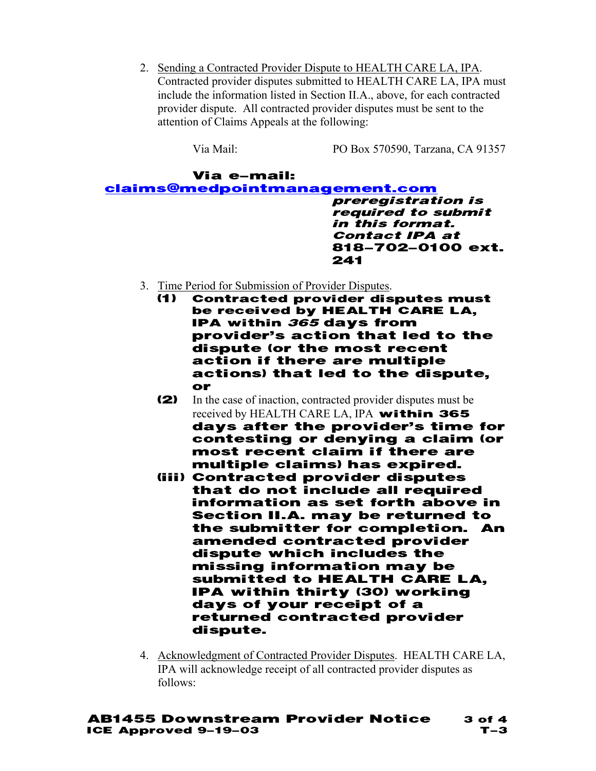2. Sending a Contracted Provider Dispute to HEALTH CARE LA, IPA. Contracted provider disputes submitted to HEALTH CARE LA, IPA must include the information listed in Section II.A., above, for each contracted provider dispute. All contracted provider disputes must be sent to the attention of Claims Appeals at the following:

Via Mail: PO Box 570590, Tarzana, CA 91357

#### Via e-mail: claims@medpointmanagement.com preregistration is required to submit in this format. Contact IPA at 818-702-0100 ext. 241

- 3. Time Period for Submission of Provider Disputes.
	- (1) Contracted provider disputes must be received by HEALTH CARE LA, IPA within 365 days from provider's action that led to the dispute (or the most recent action if there are multiple actions) that led to the dispute, or
	- (2) In the case of inaction, contracted provider disputes must be received by HEALTH CARE LA, IPA within 365 days after the provider's time for contesting or denying a claim (or most recent claim if there are multiple claims) has expired.
	- (iii) Contracted provider disputes that do not include all required information as set forth above in Section II.A. may be returned to the submitter for completion. An amended contracted provider dispute which includes the missing information may be submitted to HEALTH CARE LA, IPA within thirty (30) working days of your receipt of a returned contracted provider dispute.
- 4. Acknowledgment of Contracted Provider Disputes. HEALTH CARE LA, IPA will acknowledge receipt of all contracted provider disputes as follows: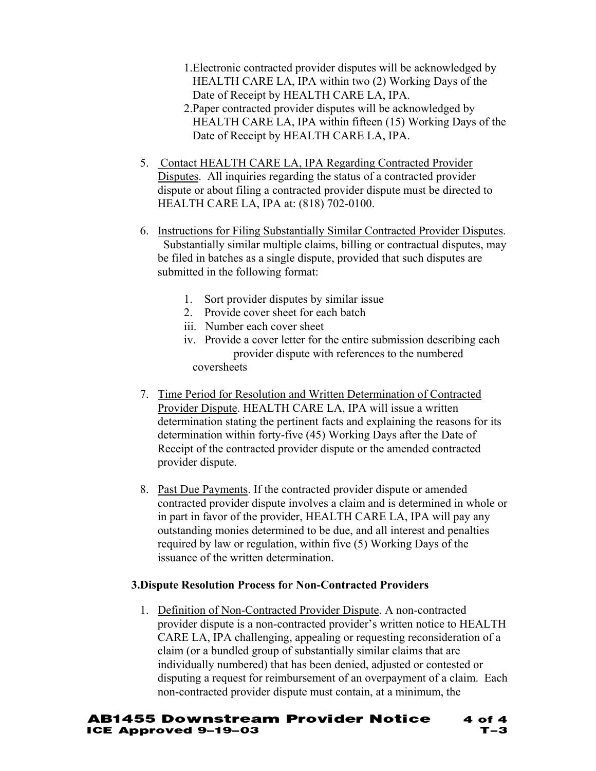- 1.Electronic contracted provider disputes will be acknowledged by HEALTH CARE LA, IPA within two (2) Working Days of the Date of Receipt by HEALTH CARE LA, IPA.
- 2.Paper contracted provider disputes will be acknowledged by HEALTH CARE LA, IPA within fifteen (15) Working Days of the Date of Receipt by HEALTH CARE LA, IPA.
- 5. Contact HEALTH CARE LA, IPA Regarding Contracted Provider Disputes. All inquiries regarding the status of a contracted provider dispute or about filing a contracted provider dispute must be directed to HEALTH CARE LA, IPA at: (818) 702-0100.
- 6. Instructions for Filing Substantially Similar Contracted Provider Disputes. Substantially similar multiple claims, billing or contractual disputes, may be filed in batches as a single dispute, provided that such disputes are submitted in the following format:
	- 1. Sort provider disputes by similar issue
	- 2. Provide cover sheet for each batch
	- iii. Number each cover sheet
	- iv. Provide a cover letter for the entire submission describing each provider dispute with references to the numbered coversheets
- 7. Time Period for Resolution and Written Determination of Contracted Provider Dispute. HEALTH CARE LA, IPA will issue a written determination stating the pertinent facts and explaining the reasons for its determination within forty-five (45) Working Days after the Date of Receipt of the contracted provider dispute or the amended contracted provider dispute.
- 8. Past Due Payments. If the contracted provider dispute or amended contracted provider dispute involves a claim and is determined in whole or in part in favor of the provider, HEALTH CARE LA, IPA will pay any outstanding monies determined to be due, and all interest and penalties required by law or regulation, within five (5) Working Days of the issuance of the written determination.

# **3.Dispute Resolution Process for Non-Contracted Providers**

1. Definition of Non-Contracted Provider Dispute. A non-contracted provider dispute is a non-contracted provider's written notice to HEALTH CARE LA, IPA challenging, appealing or requesting reconsideration of a claim (or a bundled group of substantially similar claims that are individually numbered) that has been denied, adjusted or contested or disputing a request for reimbursement of an overpayment of a claim. Each non-contracted provider dispute must contain, at a minimum, the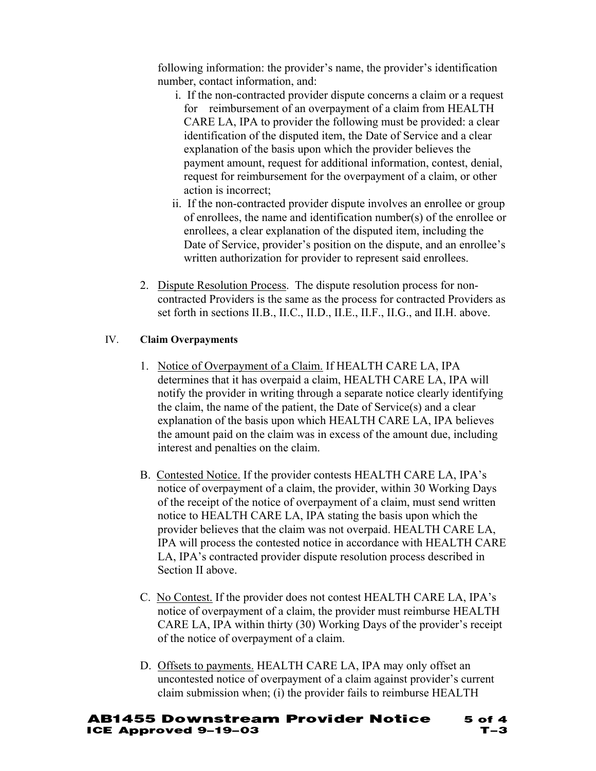following information: the provider's name, the provider's identification number, contact information, and:

- i. If the non-contracted provider dispute concerns a claim or a request for reimbursement of an overpayment of a claim from HEALTH CARE LA, IPA to provider the following must be provided: a clear identification of the disputed item, the Date of Service and a clear explanation of the basis upon which the provider believes the payment amount, request for additional information, contest, denial, request for reimbursement for the overpayment of a claim, or other action is incorrect;
- ii. If the non-contracted provider dispute involves an enrollee or group of enrollees, the name and identification number(s) of the enrollee or enrollees, a clear explanation of the disputed item, including the Date of Service, provider's position on the dispute, and an enrollee's written authorization for provider to represent said enrollees.
- 2. Dispute Resolution Process. The dispute resolution process for noncontracted Providers is the same as the process for contracted Providers as set forth in sections II.B., II.C., II.D., II.E., II.F., II.G., and II.H. above.

# IV. **Claim Overpayments**

- 1. Notice of Overpayment of a Claim. If HEALTH CARE LA, IPA determines that it has overpaid a claim, HEALTH CARE LA, IPA will notify the provider in writing through a separate notice clearly identifying the claim, the name of the patient, the Date of Service(s) and a clear explanation of the basis upon which HEALTH CARE LA, IPA believes the amount paid on the claim was in excess of the amount due, including interest and penalties on the claim.
- B. Contested Notice. If the provider contests HEALTH CARE LA, IPA's notice of overpayment of a claim, the provider, within 30 Working Days of the receipt of the notice of overpayment of a claim, must send written notice to HEALTH CARE LA, IPA stating the basis upon which the provider believes that the claim was not overpaid. HEALTH CARE LA, IPA will process the contested notice in accordance with HEALTH CARE LA, IPA's contracted provider dispute resolution process described in Section II above.
- C. No Contest. If the provider does not contest HEALTH CARE LA, IPA's notice of overpayment of a claim, the provider must reimburse HEALTH CARE LA, IPA within thirty (30) Working Days of the provider's receipt of the notice of overpayment of a claim.
- D. Offsets to payments. HEALTH CARE LA, IPA may only offset an uncontested notice of overpayment of a claim against provider's current claim submission when; (i) the provider fails to reimburse HEALTH